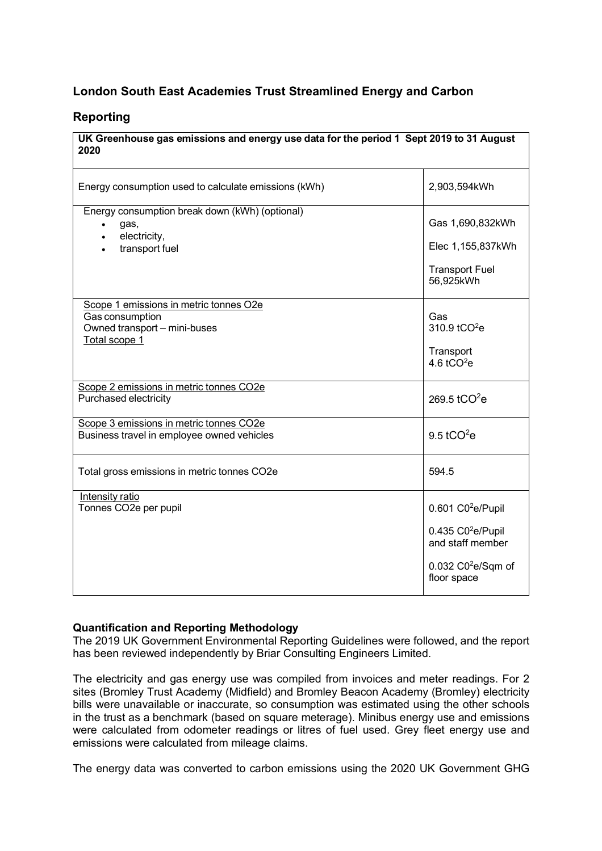# **London South East Academies Trust Streamlined Energy and Carbon**

## **Reporting**

#### **UK Greenhouse gas emissions and energy use data for the period 1 Sept 2019 to 31 August 2020**

| Energy consumption used to calculate emissions (kWh)                                                       | 2,903,594kWh                                                                                                                            |
|------------------------------------------------------------------------------------------------------------|-----------------------------------------------------------------------------------------------------------------------------------------|
| Energy consumption break down (kWh) (optional)<br>gas,<br>electricity,<br>transport fuel                   | Gas 1,690,832kWh<br>Elec 1,155,837kWh<br><b>Transport Fuel</b><br>56,925kWh                                                             |
| Scope 1 emissions in metric tonnes O2e<br>Gas consumption<br>Owned transport - mini-buses<br>Total scope 1 | Gas<br>310.9 tCO <sup>2</sup> e<br>Transport<br>4.6 $tCO2e$                                                                             |
| Scope 2 emissions in metric tonnes CO2e<br>Purchased electricity                                           | 269.5 $tCO2e$                                                                                                                           |
| Scope 3 emissions in metric tonnes CO2e<br>Business travel in employee owned vehicles                      | 9.5 tCO $2e$                                                                                                                            |
| Total gross emissions in metric tonnes CO2e                                                                | 594.5                                                                                                                                   |
| Intensity ratio<br>Tonnes CO2e per pupil                                                                   | $0.601$ C0 <sup>2</sup> e/Pupil<br>$0.435 \text{ } CO^2$ e/Pupil<br>and staff member<br>$0.032$ C0 <sup>2</sup> e/Sqm of<br>floor space |

#### **Quantification and Reporting Methodology**

The 2019 UK Government Environmental Reporting Guidelines were followed, and the report has been reviewed independently by Briar Consulting Engineers Limited.

The electricity and gas energy use was compiled from invoices and meter readings. For 2 sites (Bromley Trust Academy (Midfield) and Bromley Beacon Academy (Bromley) electricity bills were unavailable or inaccurate, so consumption was estimated using the other schools in the trust as a benchmark (based on square meterage). Minibus energy use and emissions were calculated from odometer readings or litres of fuel used. Grey fleet energy use and emissions were calculated from mileage claims.

The energy data was converted to carbon emissions using the 2020 UK Government GHG